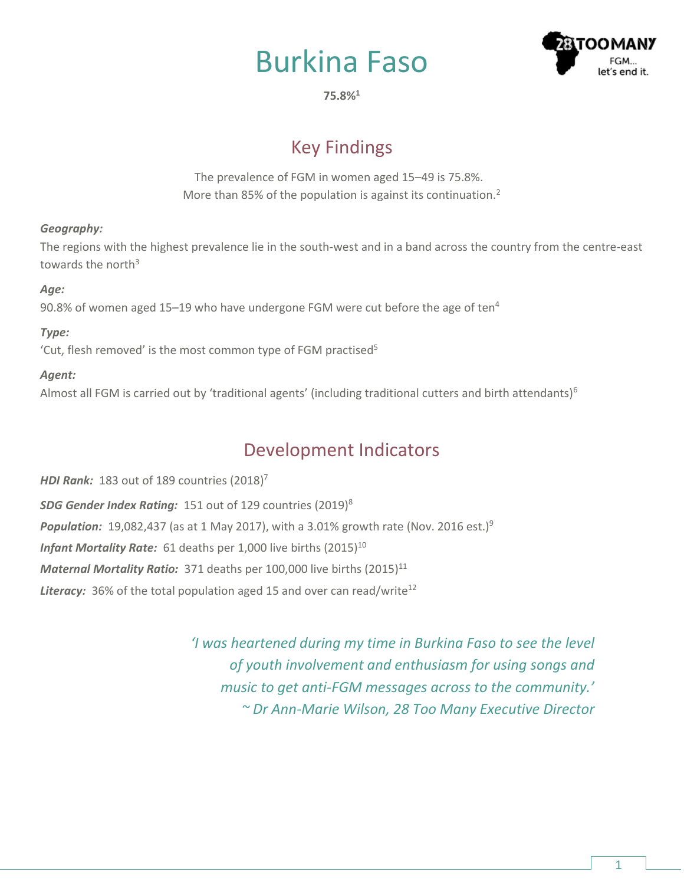



**75.8%<sup>1</sup>**

# Key Findings

The prevalence of FGM in women aged 15–49 is 75.8%. More than 85% of the population is against its continuation.<sup>2</sup>

### *Geography:*

The regions with the highest prevalence lie in the south-west and in a band across the country from the centre-east towards the north $3$ 

### *Age:*

90.8% of women aged 15-19 who have undergone FGM were cut before the age of ten<sup>4</sup>

### *Type:*

'Cut, flesh removed' is the most common type of FGM practised<sup>5</sup>

### *Agent:*

Almost all FGM is carried out by 'traditional agents' (including traditional cutters and birth attendants)<sup>6</sup>

## Development Indicators

*HDI Rank:* 183 out of 189 countries (2018) 7 *SDG Gender Index Rating:* 151 out of 129 countries (2019)<sup>8</sup> **Population:** 19,082,437 (as at 1 May 2017), with a 3.01% growth rate (Nov. 2016 est.)<sup>9</sup> *Infant Mortality Rate:* 61 deaths per 1,000 live births (2015)<sup>10</sup> *Maternal Mortality Ratio:* 371 deaths per 100,000 live births (2015)<sup>11</sup> **Literacy:** 36% of the total population aged 15 and over can read/write<sup>12</sup>

> *'I was heartened during my time in Burkina Faso to see the level of youth involvement and enthusiasm for using songs and music to get anti-FGM messages across to the community.' ~ Dr Ann-Marie Wilson, 28 Too Many Executive Director*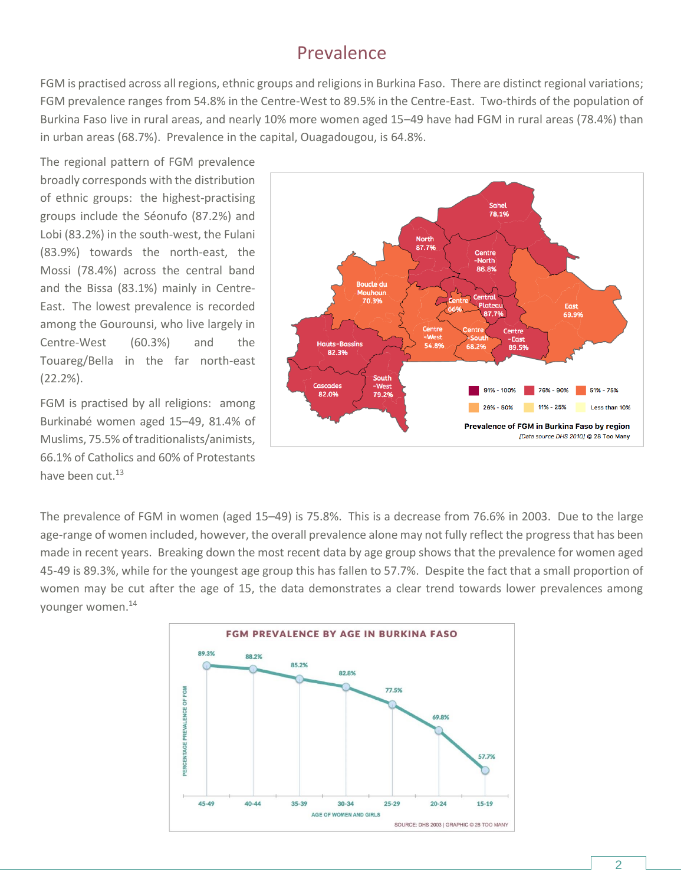### Prevalence

FGM is practised across all regions, ethnic groups and religions in Burkina Faso. There are distinct regional variations; FGM prevalence ranges from 54.8% in the Centre-West to 89.5% in the Centre-East. Two-thirds of the population of Burkina Faso live in rural areas, and nearly 10% more women aged 15–49 have had FGM in rural areas (78.4%) than in urban areas (68.7%). Prevalence in the capital, Ouagadougou, is 64.8%.

The regional pattern of FGM prevalence broadly corresponds with the distribution of ethnic groups: the highest-practising groups include the Séonufo (87.2%) and Lobi (83.2%) in the south-west, the Fulani (83.9%) towards the north-east, the Mossi (78.4%) across the central band and the Bissa (83.1%) mainly in Centre-East. The lowest prevalence is recorded among the Gourounsi, who live largely in Centre-West (60.3%) and the Touareg/Bella in the far north-east (22.2%).

FGM is practised by all religions: among Burkinabé women aged 15–49, 81.4% of Muslims, 75.5% of traditionalists/animists, 66.1% of Catholics and 60% of Protestants have been cut.<sup>13</sup>



The prevalence of FGM in women (aged 15–49) is 75.8%. This is a decrease from 76.6% in 2003. Due to the large age-range of women included, however, the overall prevalence alone may not fully reflect the progress that has been made in recent years. Breaking down the most recent data by age group shows that the prevalence for women aged 45-49 is 89.3%, while for the youngest age group this has fallen to 57.7%. Despite the fact that a small proportion of women may be cut after the age of 15, the data demonstrates a clear trend towards lower prevalences among younger women.14